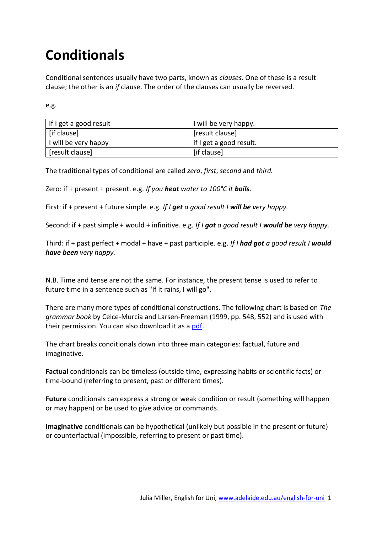# **Conditionals**

Conditional sentences usually have two parts, known as *clauses*. One of these is a result clause; the other is an *if* clause. The order of the clauses can usually be reversed.

e.g.

| If I get a good result | I will be very happy.   |
|------------------------|-------------------------|
| [if clause]            | [result clause]         |
| I will be very happy   | if I get a good result. |
| [result clause]        | [if clause]             |

The traditional types of conditional are called *zero*, *first*, *second* and *third.*

Zero: if + present + present. e.g. *If you heat water to 100°C it boils*.

First: if + present + future simple. e.g. *If I get a good result I will be very happy.*

Second: if + past simple + would + infinitive. e.g. *If I got a good result I would be very happy.*

Third: if + past perfect + modal + have + past participle. e.g. *If I had got a good result I would have been very happy.*

N.B. Time and tense are not the same. For instance, the present tense is used to refer to future time in a sentence such as "If it rains, I will go".

There are many more types of conditional constructions. The following chart is based on *The grammar book* by Celce-Murcia and Larsen-Freeman (1999, pp. 548, 552) and is used with their permission. You can also download it as a [pdf.](https://www.webdev.adelaide.edu.au/english-for-uni/conditionals/conditionals_chart.pdf)

The chart breaks conditionals down into three main categories: factual, future and imaginative.

**Factual** conditionals can be timeless (outside time, expressing habits or scientific facts) or time-bound (referring to present, past or different times).

**Future** conditionals can express a strong or weak condition or result (something will happen or may happen) or be used to give advice or commands.

**Imaginative** conditionals can be hypothetical (unlikely but possible in the present or future) or counterfactual (impossible, referring to present or past time).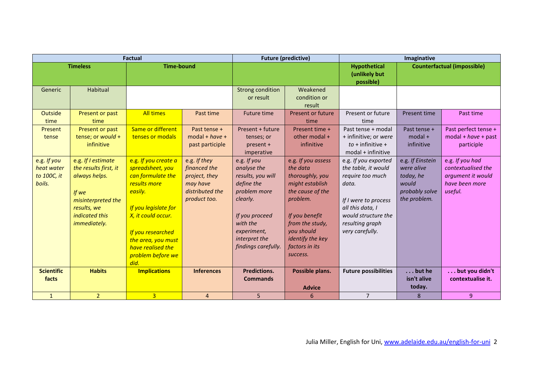| <b>Factual</b>                                     |                                                                                                                                                     | <b>Future (predictive)</b>                                                                                                                                                                                                          |                                                                                              | Imaginative                                                                                                                                                                    |                                                                                                                                                                                                           |                                                                                                                                                                                   |                                                                                        |                                                                                         |
|----------------------------------------------------|-----------------------------------------------------------------------------------------------------------------------------------------------------|-------------------------------------------------------------------------------------------------------------------------------------------------------------------------------------------------------------------------------------|----------------------------------------------------------------------------------------------|--------------------------------------------------------------------------------------------------------------------------------------------------------------------------------|-----------------------------------------------------------------------------------------------------------------------------------------------------------------------------------------------------------|-----------------------------------------------------------------------------------------------------------------------------------------------------------------------------------|----------------------------------------------------------------------------------------|-----------------------------------------------------------------------------------------|
| <b>Timeless</b>                                    |                                                                                                                                                     | <b>Time-bound</b>                                                                                                                                                                                                                   |                                                                                              |                                                                                                                                                                                |                                                                                                                                                                                                           | <b>Hypothetical</b><br>(unlikely but<br>possible)                                                                                                                                 | <b>Counterfactual (impossible)</b>                                                     |                                                                                         |
| Generic                                            | Habitual                                                                                                                                            |                                                                                                                                                                                                                                     |                                                                                              | <b>Strong condition</b><br>or result                                                                                                                                           | Weakened<br>condition or<br>result                                                                                                                                                                        |                                                                                                                                                                                   |                                                                                        |                                                                                         |
| <b>Outside</b><br>time                             | Present or past<br>time                                                                                                                             | <b>All times</b>                                                                                                                                                                                                                    | Past time                                                                                    | <b>Future time</b>                                                                                                                                                             | Present or future<br>time                                                                                                                                                                                 | Present or future<br>time                                                                                                                                                         | Present time                                                                           | Past time                                                                               |
| Present<br>tense                                   | Present or past<br>tense; or would +<br>infinitive                                                                                                  | Same or different<br>tenses or modals                                                                                                                                                                                               | Past tense +<br>$model + have +$<br>past participle                                          | Present + future<br>tenses; or<br>present +<br>imperative                                                                                                                      | Present time +<br>other modal +<br>infinitive                                                                                                                                                             | Past tense + modal<br>+ infinitive; or were<br>$to +$ infinitive +<br>$modal + infinite$                                                                                          | Past tense +<br>$modal +$<br>infinitive                                                | Past perfect tense +<br>$model + have + past$<br>participle                             |
| e.g. If you<br>heat water<br>to 100C, it<br>boils. | e.g. If I estimate<br>the results first, it<br>always helps.<br>If we<br>misinterpreted the<br>results, we<br><i>indicated this</i><br>immediately. | e.g. If you create a<br>spreadsheet, you<br>can formulate the<br>results more<br>easily.<br>If you legislate for<br>X, it could occur.<br>If you researched<br>the area, you must<br>have realised the<br>problem before we<br>did. | e.g. If they<br>financed the<br>project, they<br>may have<br>distributed the<br>product too. | e.g. If you<br>analyse the<br>results, you will<br>define the<br>problem more<br>clearly.<br>If you proceed<br>with the<br>experiment,<br>interpret the<br>findings carefully. | e.g. If you assess<br>the data<br>thoroughly, you<br>might establish<br>the cause of the<br>problem.<br>If you benefit<br>from the study,<br>you should<br>identify the key<br>factors in its<br>success. | e.g. If you exported<br>the table, it would<br>require too much<br>data.<br>If I were to process<br>all this data, I<br>would structure the<br>resulting graph<br>very carefully. | e.g. If Einstein<br>were alive<br>today, he<br>would<br>probably solve<br>the problem. | e.g. If you had<br>contextualised the<br>argument it would<br>have been more<br>useful. |
| <b>Scientific</b><br>facts                         | <b>Habits</b>                                                                                                                                       | <b>Implications</b>                                                                                                                                                                                                                 | <b>Inferences</b>                                                                            | <b>Predictions.</b><br><b>Commands</b>                                                                                                                                         | Possible plans.<br><b>Advice</b>                                                                                                                                                                          | <b>Future possibilities</b>                                                                                                                                                       | $\ldots$ but he<br>isn't alive<br>today.                                               | but you didn't<br>contextualise it.                                                     |
| $\mathbf{1}$                                       | $\overline{2}$                                                                                                                                      | $\overline{3}$                                                                                                                                                                                                                      | $\overline{4}$                                                                               | 5                                                                                                                                                                              | 6                                                                                                                                                                                                         | $\overline{7}$                                                                                                                                                                    | 8                                                                                      | 9                                                                                       |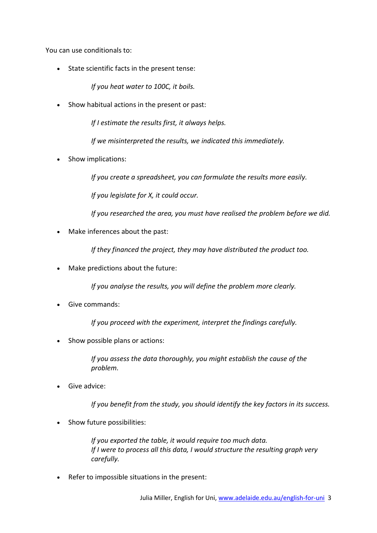You can use conditionals to:

State scientific facts in the present tense:

*If you heat water to 100C, it boils.*

• Show habitual actions in the present or past:

*If I estimate the results first, it always helps.*

*If we misinterpreted the results, we indicated this immediately.*

Show implications:

*If you create a spreadsheet, you can formulate the results more easily.*

*If you legislate for X, it could occur.*

*If you researched the area, you must have realised the problem before we did.*

Make inferences about the past:

*If they financed the project, they may have distributed the product too.*

Make predictions about the future:

*If you analyse the results, you will define the problem more clearly.*

Give commands:

*If you proceed with the experiment, interpret the findings carefully.*

Show possible plans or actions:

*If you assess the data thoroughly, you might establish the cause of the problem.*

Give advice:

*If you benefit from the study, you should identify the key factors in its success.*

• Show future possibilities:

*If you exported the table, it would require too much data. If I were to process all this data, I would structure the resulting graph very carefully.*

Refer to impossible situations in the present: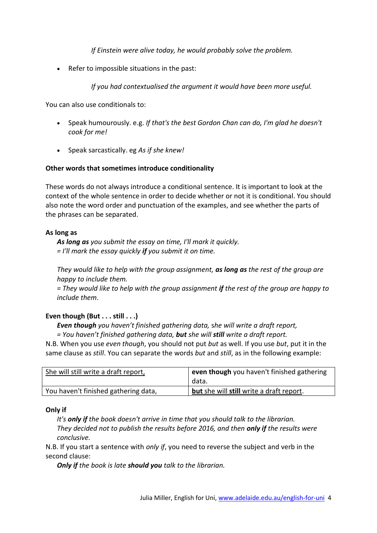*If Einstein were alive today, he would probably solve the problem.*

• Refer to impossible situations in the past:

*If you had contextualised the argument it would have been more useful.*

You can also use conditionals to:

- Speak humourously. e.g. *If that's the best Gordon Chan can do, I'm glad he doesn't cook for me!*
- Speak sarcastically. eg *As if she knew!*

## **Other words that sometimes introduce conditionality**

These words do not always introduce a conditional sentence. It is important to look at the context of the whole sentence in order to decide whether or not it is conditional. You should also note the word order and punctuation of the examples, and see whether the parts of the phrases can be separated.

## **As long as**

*As long as you submit the essay on time, I'll mark it quickly. = I'll mark the essay quickly if you submit it on time.*

*They would like to help with the group assignment, as long as the rest of the group are happy to include them.*

*= They would like to help with the group assignment if the rest of the group are happy to include them*.

# **Even though (But . . . still . . .)**

*Even though you haven't finished gathering data,* s*he will write a draft report, = You haven't finished gathering data, but she will still write a draft report.*

N.B. When you use *even though*, you should not put *but* as well. If you use *but*, put it in the same clause as *still*. You can separate the words *but* and *still*, as in the following example:

| She will still write a draft report, | even though you haven't finished gathering |
|--------------------------------------|--------------------------------------------|
|                                      | data.                                      |
| You haven't finished gathering data, | but she will still write a draft report.   |

## **Only if**

*It's only if the book doesn't arrive in time that you should talk to the librarian. They decided not to publish the results before 2016, and then only if the results were conclusive.*

N.B. If you start a sentence with *only if*, you need to reverse the subject and verb in the second clause:

*Only if the book is late should you talk to the librarian.*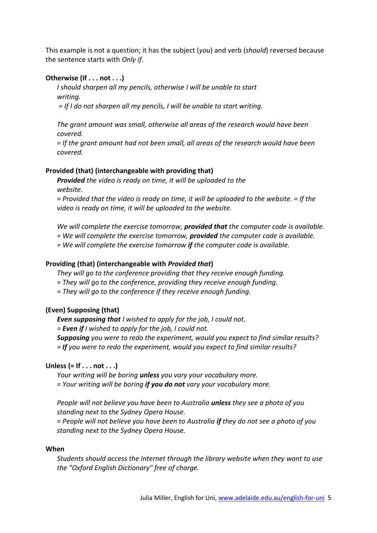This example is not a question; it has the subject (*you*) and verb (*should*) reversed because the sentence starts with *Only if*.

# **Otherwise (If . . . not . . .)**

*I should sharpen all my pencils, otherwise I will be unable to start writing.* 

*= If I do not sharpen all my pencils, I will be unable to start writing.*

*The grant amount was small, otherwise all areas of the research would have been covered.*

*= If the grant amount had not been small, all areas of the research would have been covered.*

#### **Provided (that) (interchangeable with providing that)**

*Provided the video is ready on time, it will be uploaded to the website.* 

*= Provided that the video is ready on time, it will be uploaded to the website. = If the video is ready on time, it will be uploaded to the website.*

*We will complete the exercise tomorrow, provided that the computer code is available.*

*= We will complete the exercise tomorrow, provided the computer code is available.*

*= We will complete the exercise tomorrow if the computer code is available.*

#### **Providing (that) (interchangeable with** *Provided that***)**

*They will go to the conference providing that they receive enough funding.*

- *= They will go to the conference, providing they receive enough funding.*
- *= They will go to the conference if they receive enough funding.*

#### **(Even) Supposing (that)**

*Even supposing that I wished to apply for the job, I could not.*

*= Even if I wished to apply for the job, I could not.*

*Supposing you were to redo the experiment, would you expect to find similar results? = If you were to redo the experiment, would you expect to find similar results?*

# **Unless (= If . . . not . . .)**

*Your writing will be boring unless you vary your vocabulary more. = Your writing will be boring if you do not vary your vocabulary more.*

*People will not believe you have been to Australia unless they see a photo of you standing next to the Sydney Opera House.*

*= People will not believe you have been to Australia if they do not see a photo of you standing next to the Sydney Opera House.*

#### **When**

*Students should access the Internet through the library website when they want to use the "Oxford English Dictionary" free of charge.*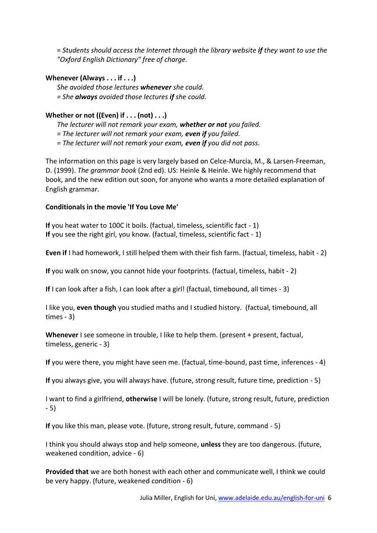= *Students should access the Internet through the library website if they want to use the "Oxford English Dictionary" free of charge.*

# **Whenever (Always . . . if . . .)**

*She avoided those lectures whenever she could. = She always avoided those lectures if she could.*

# **Whether or not ((Even) if . . . (not) . . .)**

*The lecturer will not remark your exam, whether or not you failed.*

*= The lecturer will not remark your exam, even if you failed.*

*= The lecturer will not remark your exam, even if you did not pass.*

The information on this page is very largely based on Celce-Murcia, M., & Larsen-Freeman, D. (1999). *The grammar book* (2nd ed). US: Heinle & Heinle. We highly recommend that book, and the new edition out soon, for anyone who wants a more detailed explanation of English grammar.

## **Conditionals in the movie 'If You Love Me'**

**If** you heat water to 100C it boils. (factual, timeless, scientific fact - 1) **If** you see the right girl, you know. (factual, timeless, scientific fact - 1)

**Even if** I had homework, I still helped them with their fish farm. (factual, timeless, habit - 2)

**If** you walk on snow, you cannot hide your footprints. (factual, timeless, habit - 2)

**If** I can look after a fish, I can look after a girl! (factual, timebound, all times - 3)

I like you, **even though** you studied maths and I studied history. (factual, timebound, all times - 3)

**Whenever** I see someone in trouble, I like to help them. (present + present, factual, timeless, generic - 3)

**If** you were there, you might have seen me. (factual, time-bound, past time, inferences - 4)

**If** you always give, you will always have. (future, strong result, future time, prediction - 5)

I want to find a girlfriend, **otherwise** I will be lonely. (future, strong result, future, prediction - 5)

**If** you like this man, please vote. (future, strong result, future, command - 5)

I think you should always stop and help someone, **unless** they are too dangerous. (future, weakened condition, advice - 6)

**Provided that** we are both honest with each other and communicate well, I think we could be very happy. (future, weakened condition - 6)